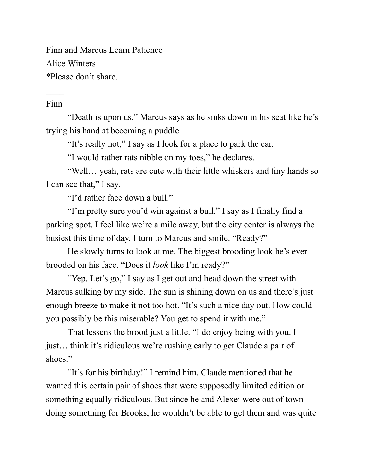Finn and Marcus Learn Patience Alice Winters \*Please don't share.

## Finn

 $\mathcal{L}_\mathcal{L}$ 

"Death is upon us," Marcus says as he sinks down in his seat like he's trying his hand at becoming a puddle.

"It's really not," I say as I look for a place to park the car.

"I would rather rats nibble on my toes," he declares.

"Well… yeah, rats are cute with their little whiskers and tiny hands so I can see that," I say.

"I'd rather face down a bull."

"I'm pretty sure you'd win against a bull," I say as I finally find a parking spot. I feel like we're a mile away, but the city center is always the busiest this time of day. I turn to Marcus and smile. "Ready?"

He slowly turns to look at me. The biggest brooding look he's ever brooded on his face. "Does it *look* like I'm ready?"

"Yep. Let's go," I say as I get out and head down the street with Marcus sulking by my side. The sun is shining down on us and there's just enough breeze to make it not too hot. "It's such a nice day out. How could you possibly be this miserable? You get to spend it with me."

That lessens the brood just a little. "I do enjoy being with you. I just… think it's ridiculous we're rushing early to get Claude a pair of shoes."

"It's for his birthday!" I remind him. Claude mentioned that he wanted this certain pair of shoes that were supposedly limited edition or something equally ridiculous. But since he and Alexei were out of town doing something for Brooks, he wouldn't be able to get them and was quite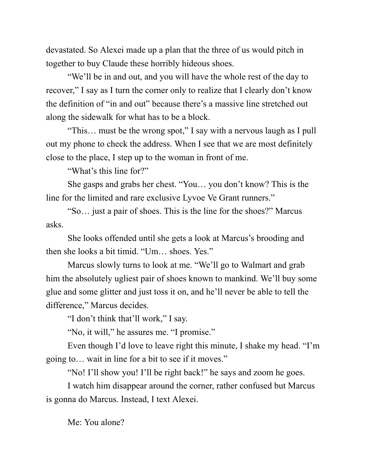devastated. So Alexei made up a plan that the three of us would pitch in together to buy Claude these horribly hideous shoes.

"We'll be in and out, and you will have the whole rest of the day to recover," I say as I turn the corner only to realize that I clearly don't know the definition of "in and out" because there's a massive line stretched out along the sidewalk for what has to be a block.

"This… must be the wrong spot," I say with a nervous laugh as I pull out my phone to check the address. When I see that we are most definitely close to the place, I step up to the woman in front of me.

"What's this line for?"

She gasps and grabs her chest. "You… you don't know? This is the line for the limited and rare exclusive Lyvoe Ve Grant runners."

"So… just a pair of shoes. This is the line for the shoes?" Marcus asks.

She looks offended until she gets a look at Marcus's brooding and then she looks a bit timid. "Um… shoes. Yes."

Marcus slowly turns to look at me. "We'll go to Walmart and grab him the absolutely ugliest pair of shoes known to mankind. We'll buy some glue and some glitter and just toss it on, and he'll never be able to tell the difference," Marcus decides.

"I don't think that'll work," I say.

"No, it will," he assures me. "I promise."

Even though I'd love to leave right this minute, I shake my head. "I'm going to… wait in line for a bit to see if it moves."

"No! I'll show you! I'll be right back!" he says and zoom he goes.

I watch him disappear around the corner, rather confused but Marcus is gonna do Marcus. Instead, I text Alexei.

Me: You alone?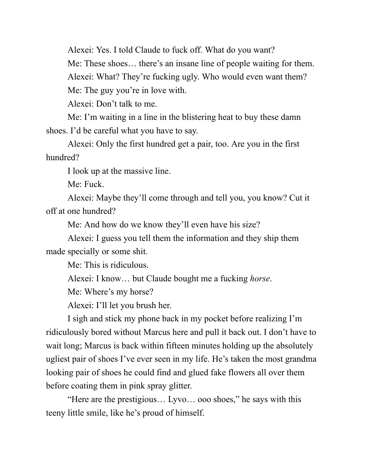Alexei: Yes. I told Claude to fuck off. What do you want?

Me: These shoes… there's an insane line of people waiting for them.

Alexei: What? They're fucking ugly. Who would even want them?

Me: The guy you're in love with.

Alexei: Don't talk to me.

Me: I'm waiting in a line in the blistering heat to buy these damn shoes. I'd be careful what you have to say.

Alexei: Only the first hundred get a pair, too. Are you in the first hundred?

I look up at the massive line.

Me: Fuck.

Alexei: Maybe they'll come through and tell you, you know? Cut it off at one hundred?

Me: And how do we know they'll even have his size?

Alexei: I guess you tell them the information and they ship them made specially or some shit.

Me: This is ridiculous.

Alexei: I know… but Claude bought me a fucking *horse*.

Me: Where's my horse?

Alexei: I'll let you brush her.

I sigh and stick my phone back in my pocket before realizing I'm ridiculously bored without Marcus here and pull it back out. I don't have to wait long; Marcus is back within fifteen minutes holding up the absolutely ugliest pair of shoes I've ever seen in my life. He's taken the most grandma looking pair of shoes he could find and glued fake flowers all over them before coating them in pink spray glitter.

"Here are the prestigious… Lyvo… ooo shoes," he says with this teeny little smile, like he's proud of himself.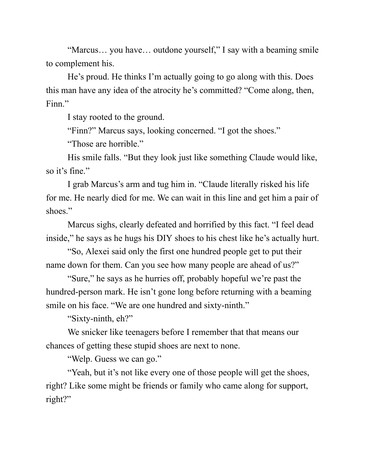"Marcus... you have... outdone yourself," I say with a beaming smile to complement his.

He's proud. He thinks I'm actually going to go along with this. Does this man have any idea of the atrocity he's committed? "Come along, then, Finn."

I stay rooted to the ground.

"Finn?" Marcus says, looking concerned. "I got the shoes."

"Those are horrible."

His smile falls. "But they look just like something Claude would like, so it's fine."

I grab Marcus's arm and tug him in. "Claude literally risked his life for me. He nearly died for me. We can wait in this line and get him a pair of shoes."

Marcus sighs, clearly defeated and horrified by this fact. "I feel dead inside," he says as he hugs his DIY shoes to his chest like he's actually hurt.

"So, Alexei said only the first one hundred people get to put their name down for them. Can you see how many people are ahead of us?"

"Sure," he says as he hurries off, probably hopeful we're past the hundred-person mark. He isn't gone long before returning with a beaming smile on his face. "We are one hundred and sixty-ninth."

"Sixty-ninth, eh?"

We snicker like teenagers before I remember that that means our chances of getting these stupid shoes are next to none.

"Welp. Guess we can go."

"Yeah, but it's not like every one of those people will get the shoes, right? Like some might be friends or family who came along for support, right?"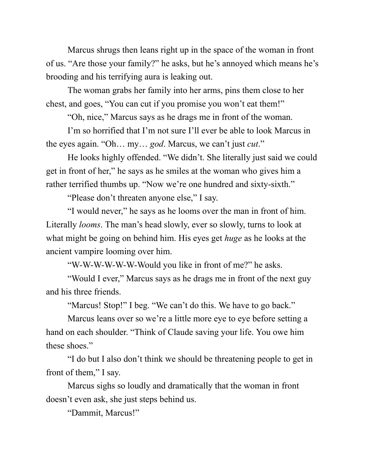Marcus shrugs then leans right up in the space of the woman in front of us. "Are those your family?" he asks, but he's annoyed which means he's brooding and his terrifying aura is leaking out.

The woman grabs her family into her arms, pins them close to her chest, and goes, "You can cut if you promise you won't eat them!"

"Oh, nice," Marcus says as he drags me in front of the woman.

I'm so horrified that I'm not sure I'll ever be able to look Marcus in the eyes again. "Oh… my… *god*. Marcus, we can't just *cut*."

He looks highly offended. "We didn't. She literally just said we could get in front of her," he says as he smiles at the woman who gives him a rather terrified thumbs up. "Now we're one hundred and sixty-sixth."

"Please don't threaten anyone else," I say.

"I would never," he says as he looms over the man in front of him. Literally *looms*. The man's head slowly, ever so slowly, turns to look at what might be going on behind him. His eyes get *huge* as he looks at the ancient vampire looming over him.

"W-W-W-W-W-W-Would you like in front of me?" he asks.

"Would I ever," Marcus says as he drags me in front of the next guy and his three friends.

"Marcus! Stop!" I beg. "We can't do this. We have to go back."

Marcus leans over so we're a little more eye to eye before setting a hand on each shoulder. "Think of Claude saving your life. You owe him these shoes."

"I do but I also don't think we should be threatening people to get in front of them," I say.

Marcus sighs so loudly and dramatically that the woman in front doesn't even ask, she just steps behind us.

"Dammit, Marcus!"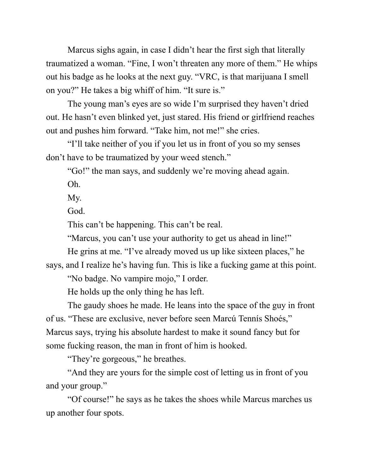Marcus sighs again, in case I didn't hear the first sigh that literally traumatized a woman. "Fine, I won't threaten any more of them." He whips out his badge as he looks at the next guy. "VRC, is that marijuana I smell on you?" He takes a big whiff of him. "It sure is."

The young man's eyes are so wide I'm surprised they haven't dried out. He hasn't even blinked yet, just stared. His friend or girlfriend reaches out and pushes him forward. "Take him, not me!" she cries.

"I'll take neither of you if you let us in front of you so my senses don't have to be traumatized by your weed stench."

"Go!" the man says, and suddenly we're moving ahead again.

Oh.

My.

God.

This can't be happening. This can't be real.

"Marcus, you can't use your authority to get us ahead in line!"

He grins at me. "I've already moved us up like sixteen places," he

says, and I realize he's having fun. This is like a fucking game at this point.

"No badge. No vampire mojo," I order.

He holds up the only thing he has left.

The gaudy shoes he made. He leans into the space of the guy in front of us. "These are exclusive, never before seen Marcú Tennís Shoés," Marcus says, trying his absolute hardest to make it sound fancy but for some fucking reason, the man in front of him is hooked.

"They're gorgeous," he breathes.

"And they are yours for the simple cost of letting us in front of you and your group."

"Of course!" he says as he takes the shoes while Marcus marches us up another four spots.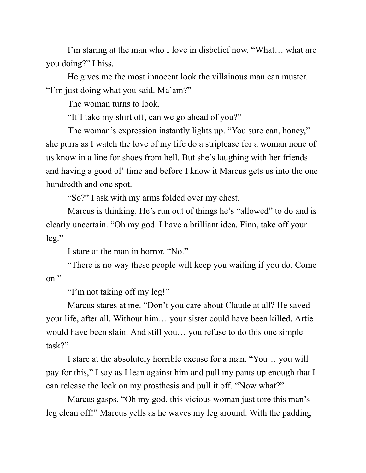I'm staring at the man who I love in disbelief now. "What… what are you doing?" I hiss.

He gives me the most innocent look the villainous man can muster. "I'm just doing what you said. Ma'am?"

The woman turns to look.

"If I take my shirt off, can we go ahead of you?"

The woman's expression instantly lights up. "You sure can, honey," she purrs as I watch the love of my life do a striptease for a woman none of us know in a line for shoes from hell. But she's laughing with her friends and having a good ol' time and before I know it Marcus gets us into the one hundredth and one spot.

"So?" I ask with my arms folded over my chest.

Marcus is thinking. He's run out of things he's "allowed" to do and is clearly uncertain. "Oh my god. I have a brilliant idea. Finn, take off your leg."

I stare at the man in horror. "No."

"There is no way these people will keep you waiting if you do. Come on."

"I'm not taking off my leg!"

Marcus stares at me. "Don't you care about Claude at all? He saved your life, after all. Without him… your sister could have been killed. Artie would have been slain. And still you… you refuse to do this one simple task?"

I stare at the absolutely horrible excuse for a man. "You… you will pay for this," I say as I lean against him and pull my pants up enough that I can release the lock on my prosthesis and pull it off. "Now what?"

Marcus gasps. "Oh my god, this vicious woman just tore this man's leg clean off!" Marcus yells as he waves my leg around. With the padding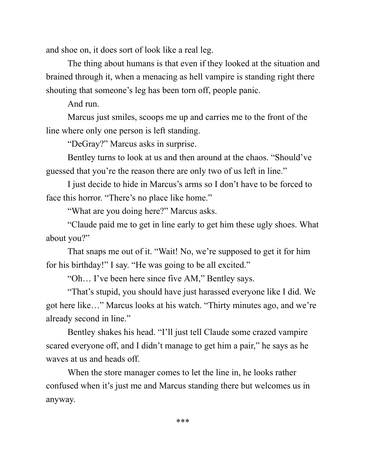and shoe on, it does sort of look like a real leg.

The thing about humans is that even if they looked at the situation and brained through it, when a menacing as hell vampire is standing right there shouting that someone's leg has been torn off, people panic.

And run.

Marcus just smiles, scoops me up and carries me to the front of the line where only one person is left standing.

"DeGray?" Marcus asks in surprise.

Bentley turns to look at us and then around at the chaos. "Should've guessed that you're the reason there are only two of us left in line."

I just decide to hide in Marcus's arms so I don't have to be forced to face this horror. "There's no place like home."

"What are you doing here?" Marcus asks.

"Claude paid me to get in line early to get him these ugly shoes. What about you?"

That snaps me out of it. "Wait! No, we're supposed to get it for him for his birthday!" I say. "He was going to be all excited."

"Oh… I've been here since five AM," Bentley says.

"That's stupid, you should have just harassed everyone like I did. We got here like…" Marcus looks at his watch. "Thirty minutes ago, and we're already second in line."

Bentley shakes his head. "I'll just tell Claude some crazed vampire scared everyone off, and I didn't manage to get him a pair," he says as he waves at us and heads off.

When the store manager comes to let the line in, he looks rather confused when it's just me and Marcus standing there but welcomes us in anyway.